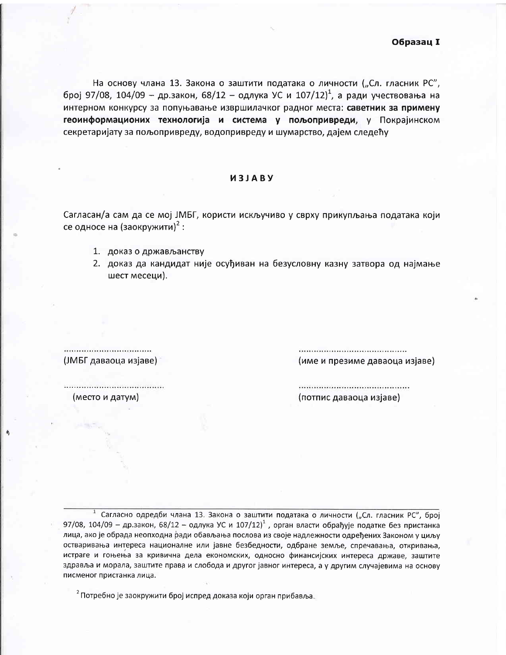На основу члана 13. Закона о заштити података о личности ("Сл. гласник РС", број 97/08, 104/09 - др.закон, 68/12 - одлука УС и 107/12)<sup>1</sup>, а ради учествовања на интерном конкурсу за попуњавање извршилачког радног места: саветник за примену геоинформационих технологија и система у пољопривреди, у Покрајинском секретаријату за пољопривреду, водопривреду и шумарство, дајем следећу

## *U3JABY*

Сагласан/а сам да се мој ЈМБГ, користи искључиво у сврху прикупљања података који се односе на (заокружити)<sup>2</sup>:

- 1. доказ о држављанству
- 2. доказ да кандидат није осуђиван на безусловну казну затвора од најмање шест месеци).

(име и презиме даваоца изјаве)

(ЈМБГ даваоца изјаве)

(потпис даваоца изјаве)

(место и датум)

Сагласно одредби члана 13. Закона о заштити података о личности ("Сл. гласник РС", број 97/08, 104/09 - др.закон, 68/12 - одлука УС и 107/12)<sup>1</sup>, орган власти обрађује податке без пристанка лица, ако је обрада неопходна ради обављања послова из своје надлежности одређених Законом у циљу остваривања интереса националне или јавне безбедности, одбране земље, спречавања, откривања, истраге и гоњења за кривична дела економских, односно финансијских интереса државе, заштите здравља и морала, заштите права и слобода и другог јавног интереса, а у другим случајевима на основу писменог пристанка лица.

 $2$  Потребно је заокружити број испред доказа који орган прибавља.